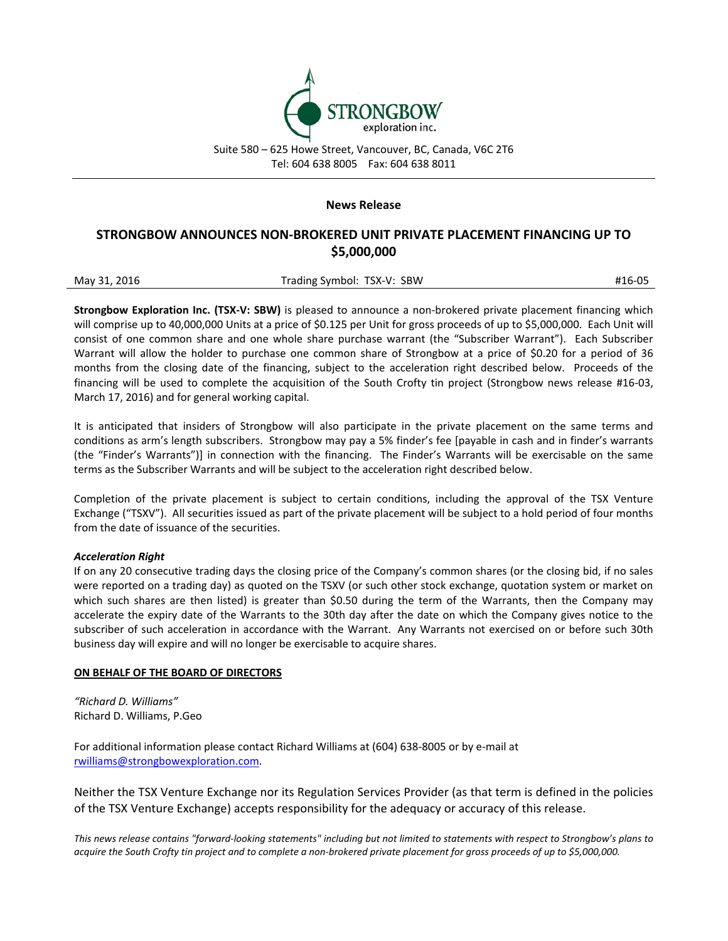

## **News Release**

## **STRONGBOW ANNOUNCES NON-BROKERED UNIT PRIVATE PLACEMENT FINANCING UP TO \$5,000,000**

| May 31, 2016 | Trading Symbol: TSX-V: SBW | #16-05 |
|--------------|----------------------------|--------|
|              |                            |        |

**Strongbow Exploration Inc. (TSX-V: SBW)** is pleased to announce a non-brokered private placement financing which will comprise up to 40,000,000 Units at a price of \$0.125 per Unit for gross proceeds of up to \$5,000,000. Each Unit will consist of one common share and one whole share purchase warrant (the "Subscriber Warrant"). Each Subscriber Warrant will allow the holder to purchase one common share of Strongbow at a price of \$0.20 for a period of 36 months from the closing date of the financing, subject to the acceleration right described below. Proceeds of the financing will be used to complete the acquisition of the South Crofty tin project (Strongbow news release #16-03, March 17, 2016) and for general working capital.

It is anticipated that insiders of Strongbow will also participate in the private placement on the same terms and conditions as arm's length subscribers. Strongbow may pay a 5% finder's fee [payable in cash and in finder's warrants (the "Finder's Warrants")] in connection with the financing. The Finder's Warrants will be exercisable on the same terms as the Subscriber Warrants and will be subject to the acceleration right described below.

Completion of the private placement is subject to certain conditions, including the approval of the TSX Venture Exchange ("TSXV"). All securities issued as part of the private placement will be subject to a hold period of four months from the date of issuance of the securities.

## *Acceleration Right*

If on any 20 consecutive trading days the closing price of the Company's common shares (or the closing bid, if no sales were reported on a trading day) as quoted on the TSXV (or such other stock exchange, quotation system or market on which such shares are then listed) is greater than \$0.50 during the term of the Warrants, then the Company may accelerate the expiry date of the Warrants to the 30th day after the date on which the Company gives notice to the subscriber of such acceleration in accordance with the Warrant. Any Warrants not exercised on or before such 30th business day will expire and will no longer be exercisable to acquire shares.

## **ON BEHALF OF THE BOARD OF DIRECTORS**

*"Richard D. Williams"* Richard D. Williams, P.Geo

For additional information please contact Richard Williams at (604) 638-8005 or by e-mail at [rwilliams@strongbowexploration.com.](mailto:rwilliams@strongbowexploration.com)

Neither the TSX Venture Exchange nor its Regulation Services Provider (as that term is defined in the policies of the TSX Venture Exchange) accepts responsibility for the adequacy or accuracy of this release.

*This news release contains "forward-looking statements" including but not limited to statements with respect to Strongbow's plans to acquire the South Crofty tin project and to complete a non-brokered private placement for gross proceeds of up to \$5,000,000.*